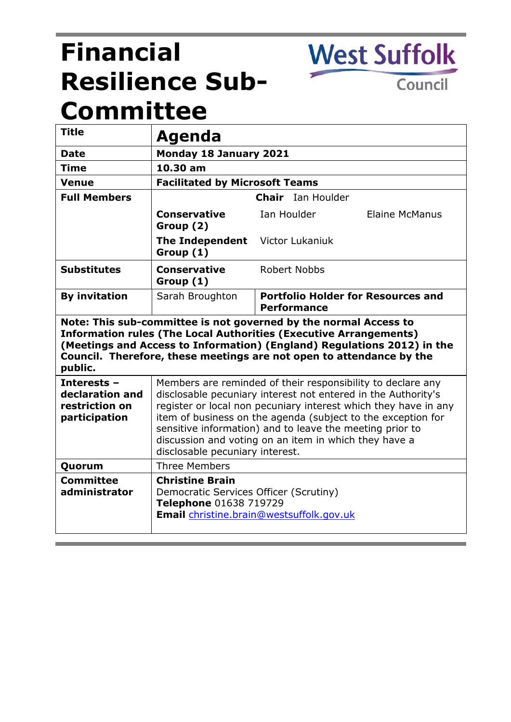# **Financial Resilience Sub-Committee**

Council

**West Suffolk** 

| <b>Title</b>                                                                                                                                                                                                                                                                                               | Agenda                                                                                                                                                                                                                                                                                                                                                                                                                  |                                                                 |
|------------------------------------------------------------------------------------------------------------------------------------------------------------------------------------------------------------------------------------------------------------------------------------------------------------|-------------------------------------------------------------------------------------------------------------------------------------------------------------------------------------------------------------------------------------------------------------------------------------------------------------------------------------------------------------------------------------------------------------------------|-----------------------------------------------------------------|
| <b>Date</b>                                                                                                                                                                                                                                                                                                | Monday 18 January 2021                                                                                                                                                                                                                                                                                                                                                                                                  |                                                                 |
| <b>Time</b>                                                                                                                                                                                                                                                                                                | 10.30 am                                                                                                                                                                                                                                                                                                                                                                                                                |                                                                 |
| <b>Venue</b>                                                                                                                                                                                                                                                                                               | <b>Facilitated by Microsoft Teams</b>                                                                                                                                                                                                                                                                                                                                                                                   |                                                                 |
| <b>Full Members</b>                                                                                                                                                                                                                                                                                        | <b>Chair</b> Ian Houlder                                                                                                                                                                                                                                                                                                                                                                                                |                                                                 |
|                                                                                                                                                                                                                                                                                                            | <b>Conservative</b><br>Group (2)                                                                                                                                                                                                                                                                                                                                                                                        | Ian Houlder<br><b>Elaine McManus</b>                            |
|                                                                                                                                                                                                                                                                                                            | The Independent Victor Lukaniuk<br>Group (1)                                                                                                                                                                                                                                                                                                                                                                            |                                                                 |
| <b>Substitutes</b>                                                                                                                                                                                                                                                                                         | <b>Conservative</b><br>Group (1)                                                                                                                                                                                                                                                                                                                                                                                        | Robert Nobbs                                                    |
| <b>By invitation</b>                                                                                                                                                                                                                                                                                       | Sarah Broughton                                                                                                                                                                                                                                                                                                                                                                                                         | <b>Portfolio Holder for Resources and</b><br><b>Performance</b> |
| Note: This sub-committee is not governed by the normal Access to<br><b>Information rules (The Local Authorities (Executive Arrangements)</b><br>(Meetings and Access to Information) (England) Regulations 2012) in the<br>Council. Therefore, these meetings are not open to attendance by the<br>public. |                                                                                                                                                                                                                                                                                                                                                                                                                         |                                                                 |
| Interests -<br>declaration and<br>restriction on<br>participation                                                                                                                                                                                                                                          | Members are reminded of their responsibility to declare any<br>disclosable pecuniary interest not entered in the Authority's<br>register or local non pecuniary interest which they have in any<br>item of business on the agenda (subject to the exception for<br>sensitive information) and to leave the meeting prior to<br>discussion and voting on an item in which they have a<br>disclosable pecuniary interest. |                                                                 |
| Quorum                                                                                                                                                                                                                                                                                                     | <b>Three Members</b>                                                                                                                                                                                                                                                                                                                                                                                                    |                                                                 |
| <b>Committee</b><br>administrator                                                                                                                                                                                                                                                                          | <b>Christine Brain</b><br>Democratic Services Officer (Scrutiny)<br>Telephone 01638 719729<br>Email christine.brain@westsuffolk.gov.uk                                                                                                                                                                                                                                                                                  |                                                                 |